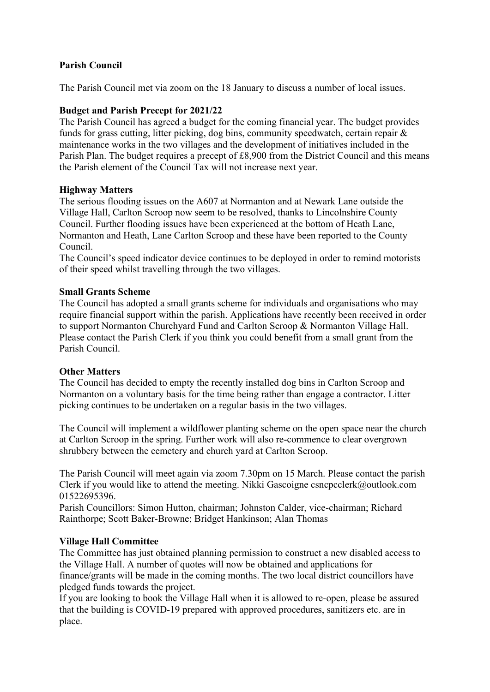# **Parish Council**

The Parish Council met via zoom on the 18 January to discuss a number of local issues.

## **Budget and Parish Precept for 2021/22**

The Parish Council has agreed a budget for the coming financial year. The budget provides funds for grass cutting, litter picking, dog bins, community speedwatch, certain repair & maintenance works in the two villages and the development of initiatives included in the Parish Plan. The budget requires a precept of £8,900 from the District Council and this means the Parish element of the Council Tax will not increase next year.

### **Highway Matters**

The serious flooding issues on the A607 at Normanton and at Newark Lane outside the Village Hall, Carlton Scroop now seem to be resolved, thanks to Lincolnshire County Council. Further flooding issues have been experienced at the bottom of Heath Lane, Normanton and Heath, Lane Carlton Scroop and these have been reported to the County Council.

The Council's speed indicator device continues to be deployed in order to remind motorists of their speed whilst travelling through the two villages.

### **Small Grants Scheme**

The Council has adopted a small grants scheme for individuals and organisations who may require financial support within the parish. Applications have recently been received in order to support Normanton Churchyard Fund and Carlton Scroop & Normanton Village Hall. Please contact the Parish Clerk if you think you could benefit from a small grant from the Parish Council.

## **Other Matters**

The Council has decided to empty the recently installed dog bins in Carlton Scroop and Normanton on a voluntary basis for the time being rather than engage a contractor. Litter picking continues to be undertaken on a regular basis in the two villages.

The Council will implement a wildflower planting scheme on the open space near the church at Carlton Scroop in the spring. Further work will also re-commence to clear overgrown shrubbery between the cemetery and church yard at Carlton Scroop.

The Parish Council will meet again via zoom 7.30pm on 15 March. Please contact the parish Clerk if you would like to attend the meeting. Nikki Gascoigne csncpcclerk@outlook.com 01522695396.

Parish Councillors: Simon Hutton, chairman; Johnston Calder, vice-chairman; Richard Rainthorpe; Scott Baker-Browne; Bridget Hankinson; Alan Thomas

## **Village Hall Committee**

The Committee has just obtained planning permission to construct a new disabled access to the Village Hall. A number of quotes will now be obtained and applications for finance/grants will be made in the coming months. The two local district councillors have pledged funds towards the project.

If you are looking to book the Village Hall when it is allowed to re-open, please be assured that the building is COVID-19 prepared with approved procedures, sanitizers etc. are in place.